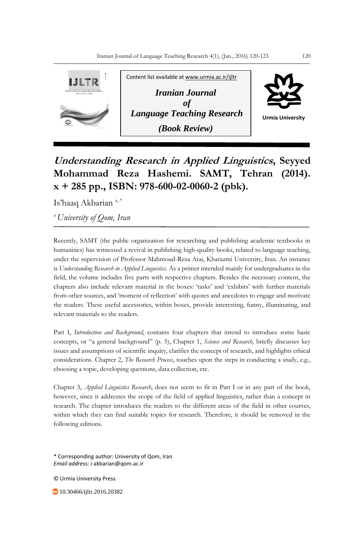

## **Understanding Research in Applied Linguistics, Seyyed Mohammad Reza Hashemi. SAMT, Tehran (2014). x + 285 pp., ISBN: 978-600-02-0060-2 (pbk).**

Is'haaq Akbarian<sup>a,\*</sup>

*<sup>a</sup>University of Qom, Iran*

Recently, SAMT (the public organization for researching and publishing academic textbooks in humanities) has witnessed a revival in publishing high-quality books, related to language teaching, under the supervision of Professor Mahmoud-Reza Atai, Kharazmi University, Iran. An instance is *Understanding Research in Applied Linguistics*. As a primer intended mainly for undergraduates in the field, the volume includes five parts with respective chapters. Besides the necessary content, the chapters also include relevant material in the boxes: 'tasks' and 'exhibits' with further materials from other sources, and 'moment of reflection' with quotes and anecdotes to engage and motivate the readers. These useful accessories, within boxes, provide interesting, funny, illuminating, and relevant materials to the readers.

Part I, *Introduction and Background*, contains four chapters that intend to introduce some basic concepts, or "a general background" (p. 5), Chapter 1, *Science and Research*, briefly discusses key issues and assumptions of scientific inquiry, clarifies the concept of research, and highlights ethical considerations. Chapter 2, *The Research Process*, touches upon the steps in conducting a study, e.g., choosing a topic, developing questions, data collection, etc.

Chapter 3, *Applied Linguistics Research*, does not seem to fit in Part I or in any part of the book, however, since it addresses the scope of the field of applied linguistics, rather than a concept in research. The chapter introduces the readers to the different areas of the field in other courses, within which they can find suitable topics for research. Therefore, it should be removed in the following editions.

\* Corresponding author: University of Qom, Iran *Email address:* i-akbarian@qom.ac.ir

© Urmia University Press

10.30466/ijltr.2016.20382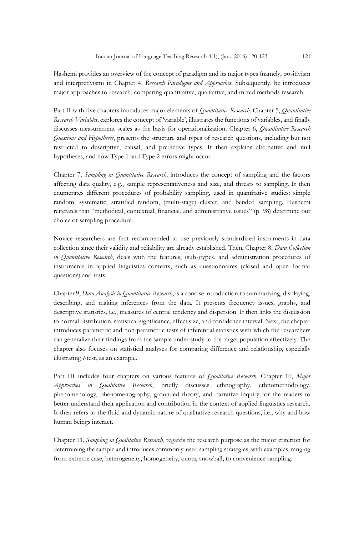Hashemi provides an overview of the concept of paradigm and its major types (namely, positivism and interpretivism) in Chapter 4, *Research Paradigms and Approaches*. Subsequently, he introduces major approaches to research, comparing quantitative, qualitative, and mixed methods research.

Part II with five chapters introduces major elements of *Quantitative Research*. Chapter 5, *Quantitative Research Variables*, explores the concept of 'variable', illustrates the functions of variables, and finally discusses measurement scales as the basis for operationalization. Chapter 6, *Quantitative Research Questions and Hypotheses*, presents the structure and types of research questions, including but not restricted to descriptive, causal, and predictive types. It then explains alternative and null hypotheses, and how Type 1 and Type 2 errors might occur.

Chapter 7, *Sampling in Quantitative Research*, introduces the concept of sampling and the factors affecting data quality, e.g., sample representativeness and size, and threats to sampling. It then enumerates different procedures of probability sampling, used in quantitative studies: simple random, systematic, stratified random, (multi-stage) cluster, and bended sampling. Hashemi reiterates that "methodical, contextual, financial, and administrative issues" (p. 98) determine our choice of sampling procedure.

Novice researchers are first recommended to use previously standardized instruments in data collection since their validity and reliability are already established. Then, Chapter 8, *Data Collection in Quantitative Research*, deals with the features, (sub-)types, and administration procedures of instruments in applied linguistics contexts, such as questionnaires (closed and open format questions) and tests.

Chapter 9, *Data Analysis in Quantitative Research*, is a concise introduction to summarizing, displaying, describing, and making inferences from the data. It presents frequency issues, graphs, and descriptive statistics, i.e., measures of central tendency and dispersion. It then links the discussion to normal distribution, statistical significance, effect size, and confidence interval. Next, the chapter introduces parametric and non-parametric tests of inferential statistics with which the researchers can generalize their findings from the sample under study to the target population effectively. The chapter also focuses on statistical analyses for comparing difference and relationship, especially illustrating *t*-test, as an example.

Part III includes four chapters on various features of *Qualitative Research*. Chapter 10, *Major Approaches in Qualitative Research*, briefly discusses ethnography, ethnomethodology, phenomenology, phenomenography, grounded theory, and narrative inquiry for the readers to better understand their application and contribution in the context of applied linguistics research. It then refers to the fluid and dynamic nature of qualitative research questions, i.e., why and how human beings interact.

Chapter 11, *Sampling in Qualitative Research*, regards the research purpose as the major criterion for determining the sample and introduces commonly-used sampling strategies, with examples, ranging from extreme case, heterogeneity, homogeneity, quota, snowball, to convenience sampling.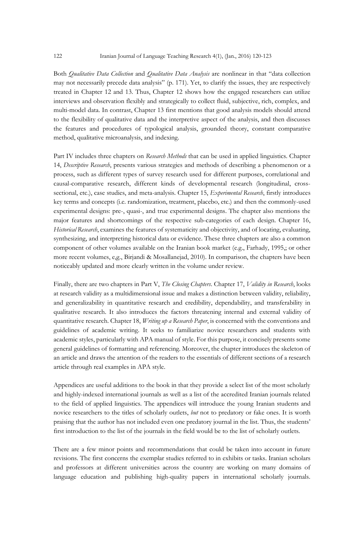Both *Qualitative Data Collection* and *Qualitative Data Analysis* are nonlinear in that "data collection may not necessarily precede data analysis" (p. 171). Yet, to clarify the issues, they are respectively treated in Chapter 12 and 13. Thus, Chapter 12 shows how the engaged researchers can utilize interviews and observation flexibly and strategically to collect fluid, subjective, rich, complex, and multi-model data. In contrast, Chapter 13 first mentions that good analysis models should attend to the flexibility of qualitative data and the interpretive aspect of the analysis, and then discusses the features and procedures of typological analysis, grounded theory, constant comparative method, qualitative microanalysis, and indexing.

Part IV includes three chapters on *Research Methods* that can be used in applied linguistics. Chapter 14, *Descriptive Research*, presents various strategies and methods of describing a phenomenon or a process, such as different types of survey research used for different purposes, correlational and causal-comparative research, different kinds of developmental research (longitudinal, crosssectional, etc.), case studies, and meta-analysis. Chapter 15, *Experimental Research*, firstly introduces key terms and concepts (i.e. randomization, treatment, placebo, etc.) and then the commonly-used experimental designs: pre-, quasi-, and true experimental designs. The chapter also mentions the major features and shortcomings of the respective sub-categories of each design. Chapter 16, *Historical Research*, examines the features of systematicity and objectivity, and of locating, evaluating, synthesizing, and interpreting historical data or evidence. These three chapters are also a common component of other volumes available on the Iranian book market (e.g., Farhady, 1995,; or other more recent volumes, e,g., Birjandi & Mosallanejad, 2010). In comparison, the chapters have been noticeably updated and more clearly written in the volume under review.

Finally, there are two chapters in Part V, *The Closing Chapters*. Chapter 17, *Validity in Research*, looks at research validity as a multidimensional issue and makes a distinction between validity, reliability, and generalizability in quantitative research and credibility, dependability, and transferability in qualitative research. It also introduces the factors threatening internal and external validity of quantitative research. Chapter 18, *Writing up a Research Paper*, is concerned with the conventions and guidelines of academic writing. It seeks to familiarize novice researchers and students with academic styles, particularly with APA manual of style. For this purpose, it concisely presents some general guidelines of formatting and referencing. Moreover, the chapter introduces the skeleton of an article and draws the attention of the readers to the essentials of different sections of a research article through real examples in APA style.

Appendices are useful additions to the book in that they provide a select list of the most scholarly and highly-indexed international journals as well as a list of the accredited Iranian journals related to the field of applied linguistics. The appendices will introduce the young Iranian students and novice researchers to the titles of scholarly outlets, *but* not to predatory or fake ones. It is worth praising that the author has not included even one predatory journal in the list. Thus, the students' first introduction to the list of the journals in the field would be to the list of scholarly outlets.

There are a few minor points and recommendations that could be taken into account in future revisions. The first concerns the exemplar studies referred to in exhibits or tasks. Iranian scholars and professors at different universities across the country are working on many domains of language education and publishing high-quality papers in international scholarly journals.